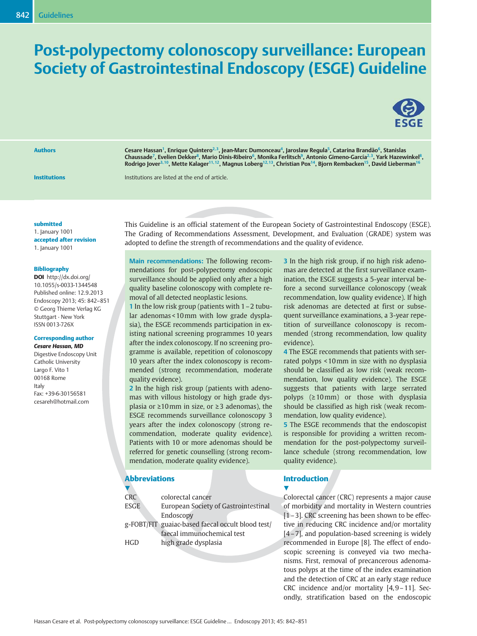# Post-polypectomy colonoscopy surveillance: European Society of Gastrointestinal Endoscopy (ESGE) Guideline



Authors Cesare Hassan<sup>1</sup>, Enrique Quintero<sup>2, 3</sup>, Jean-Marc Dumonceau<sup>4</sup>, Jaroslaw Regula<sup>5</sup>, Catarina Brandão<sup>6</sup>, Stanislas Chaussade<sup>7</sup>, Evelien Dekker<sup>8</sup>, Mario Dinis-Ribeiro<sup>6</sup>, Monika Ferlitsch<sup>9</sup>, Antonio Gimeno-García<sup>2, 3</sup>, Yark Hazewinkel<sup>8</sup>, Rodrigo Jover<sup>3, 10</sup>, Mette Kalager<sup>11, 12</sup>, Magnus Loberg<sup>12, 13</sup>, Christian Pox<sup>14</sup>, Biorn Rembacken<sup>15</sup>, David Lieberman<sup>16</sup>

**Institutions** Institutions are listed at the end of article.

#### submitted

1. January 1001 accepted after revision 1. January 1001

#### Bibliography

DOI http://dx.doi.org/ 10.1055/s-0033-1344548 Published online: 12.9.2013 Endoscopy 2013; 45: 842–851 © Georg Thieme Verlag KG Stuttgart · New York ISSN 0013-726X

#### Corresponding author

Cesare Hassan, MD Digestive Endoscopy Unit Catholic University Largo F. Vito 1 00168 Rome Italy Fax: +39-6-30156581 cesareh@hotmail.com

This Guideline is an official statement of the European Society of Gastrointestinal Endoscopy (ESGE). The Grading of Recommendations Assessment, Development, and Evaluation (GRADE) system was adopted to define the strength of recommendations and the quality of evidence.

Main recommendations: The following recommendations for post-polypectomy endoscopic surveillance should be applied only after a high quality baseline colonoscopy with complete removal of all detected neoplastic lesions.

1 In the low risk group (patients with 1–2 tubular adenomas < 10mm with low grade dysplasia), the ESGE recommends participation in existing national screening programmes 10 years after the index colonoscopy. If no screening programme is available, repetition of colonoscopy 10 years after the index colonoscopy is recommended (strong recommendation, moderate quality evidence).

2 In the high risk group (patients with adenomas with villous histology or high grade dysplasia or ≥10mm in size, or ≥3 adenomas), the ESGE recommends surveillance colonoscopy 3 years after the index colonoscopy (strong recommendation, moderate quality evidence). Patients with 10 or more adenomas should be referred for genetic counselling (strong recommendation, moderate quality evidence).

### Abbreviations

| <b>CRC</b>  | colorectal cancer                                 |
|-------------|---------------------------------------------------|
| <b>ESGE</b> | European Society of Gastrointestinal              |
|             | Endoscopy                                         |
|             | g-FOBT/FIT guaiac-based faecal occult blood test/ |
|             | faecal immunochemical test                        |
| <b>HGD</b>  | high grade dysplasia                              |

3 In the high risk group, if no high risk adenomas are detected at the first surveillance examination, the ESGE suggests a 5-year interval before a second surveillance colonoscopy (weak recommendation, low quality evidence). If high risk adenomas are detected at first or subsequent surveillance examinations, a 3-year repetition of surveillance colonoscopy is recommended (strong recommendation, low quality evidence).

4 The ESGE recommends that patients with serrated polyps < 10mm in size with no dysplasia should be classified as low risk (weak recommendation, low quality evidence). The ESGE suggests that patients with large serrated polyps (≥10mm) or those with dysplasia should be classified as high risk (weak recommendation, low quality evidence).

5 The ESGE recommends that the endoscopist is responsible for providing a written recommendation for the post-polypectomy surveillance schedule (strong recommendation, low quality evidence).

#### Introduction

v,

Colorectal cancer (CRC) represents a major cause of morbidity and mortality in Western countries [1–3]. CRC screening has been shown to be effective in reducing CRC incidence and/or mortality [4–7], and population-based screening is widely recommended in Europe [8]. The effect of endoscopic screening is conveyed via two mechanisms. First, removal of precancerous adenomatous polyps at the time of the index examination and the detection of CRC at an early stage reduce CRC incidence and/or mortality [4, 9–11]. Secondly, stratification based on the endoscopic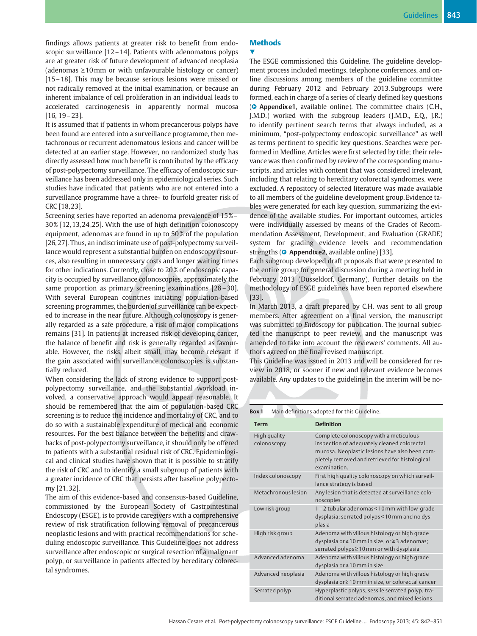findings allows patients at greater risk to benefit from endoscopic surveillance [12–14]. Patients with adenomatous polyps are at greater risk of future development of advanced neoplasia (adenomas  $\geq 10$  mm or with unfavourable histology or cancer) [15–18]. This may be because serious lesions were missed or not radically removed at the initial examination, or because an inherent imbalance of cell proliferation in an individual leads to accelerated carcinogenesis in apparently normal mucosa [16, 19–23].

It is assumed that if patients in whom precancerous polyps have been found are entered into a surveillance programme, then metachronous or recurrent adenomatous lesions and cancer will be detected at an earlier stage. However, no randomized study has directly assessed how much benefit is contributed by the efficacy of post-polypectomy surveillance. The efficacy of endoscopic surveillance has been addressed only in epidemiological series. Such studies have indicated that patients who are not entered into a surveillance programme have a three- to fourfold greater risk of CRC [18, 23].

Screening series have reported an adenoma prevalence of 15 %– 30 % [12, 13, 24 ,25]. With the use of high definition colonoscopy equipment, adenomas are found in up to 50% of the population [26, 27]. Thus, an indiscriminate use of post-polypectomy surveillance would represent a substantial burden on endoscopy resources, also resulting in unnecessary costs and longer waiting times for other indications. Currently, close to 20 % of endoscopic capacity is occupied by surveillance colonoscopies, approximately the same proportion as primary screening examinations [28–30]. With several European countries initiating population-based screening programmes, the burden of surveillance can be expected to increase in the near future. Although colonoscopy is generally regarded as a safe procedure, a risk of major complications remains [31]. In patients at increased risk of developing cancer, the balance of benefit and risk is generally regarded as favourable. However, the risks, albeit small, may become relevant if the gain associated with surveillance colonoscopies is substantially reduced.

When considering the lack of strong evidence to support postpolypectomy surveillance, and the substantial workload involved, a conservative approach would appear reasonable. It should be remembered that the aim of population-based CRC screening is to reduce the incidence and mortality of CRC, and to do so with a sustainable expenditure of medical and economic resources. For the best balance between the benefits and drawbacks of post-polypectomy surveillance, it should only be offered to patients with a substantial residual risk of CRC. Epidemiological and clinical studies have shown that it is possible to stratify the risk of CRC and to identify a small subgroup of patients with a greater incidence of CRC that persists after baseline polypectomy [21, 32].

The aim of this evidence-based and consensus-based Guideline, commissioned by the European Society of Gastrointestinal Endoscopy (ESGE), is to provide caregivers with a comprehensive review of risk stratification following removal of precancerous neoplastic lesions and with practical recommendations for scheduling endoscopic surveillance. This Guideline does not address surveillance after endoscopic or surgical resection of a malignant polyp, or surveillance in patients affected by hereditary colorectal syndromes.

# **Methods**

#### <u>V</u>

The ESGE commissioned this Guideline. The guideline development process included meetings, telephone conferences, and online discussions among members of the guideline committee during February 2012 and February 2013. Subgroups were formed, each in charge of a series of clearly defined key questions (O Appendixe1, available online). The committee chairs (C.H., J.M.D.) worked with the subgroup leaders (J.M.D., E.Q., J.R.) to identify pertinent search terms that always included, as a minimum, "post-polypectomy endoscopic surveillance" as well as terms pertinent to specific key questions. Searches were performed in Medline. Articles were first selected by title; their relevance was then confirmed by review of the corresponding manuscripts, and articles with content that was considered irrelevant, including that relating to hereditary colorectal syndromes, were excluded. A repository of selected literature was made available to all members of the guideline development group. Evidence tables were generated for each key question, summarizing the evidence of the available studies. For important outcomes, articles were individually assessed by means of the Grades of Recommendation Assessment, Development, and Evaluation (GRADE) system for grading evidence levels and recommendation strengths (O Appendixe2, available online) [33].

Each subgroup developed draft proposals that were presented to the entire group for general discussion during a meeting held in February 2013 (Düsseldorf, Germany). Further details on the methodology of ESGE guidelines have been reported elsewhere [33].

In March 2013, a draft prepared by C.H. was sent to all group members. After agreement on a final version, the manuscript was submitted to Endoscopy for publication. The journal subjected the manuscript to peer review, and the manuscript was amended to take into account the reviewers' comments. All authors agreed on the final revised manuscript.

This Guideline was issued in 2013 and will be considered for review in 2018, or sooner if new and relevant evidence becomes available. Any updates to the guideline in the interim will be no-

Box 1 Main definitions adopted for this Guideline.

| <b>Term</b>                 | <b>Definition</b>                                                                                                                                                                                         |
|-----------------------------|-----------------------------------------------------------------------------------------------------------------------------------------------------------------------------------------------------------|
| High quality<br>colonoscopy | Complete colonoscopy with a meticulous<br>inspection of adequately cleaned colorectal<br>mucosa. Neoplastic lesions have also been com-<br>pletely removed and retrieved for histological<br>examination. |
| Index colonoscopy           | First high quality colonoscopy on which surveil-<br>lance strategy is based                                                                                                                               |
| Metachronous lesion         | Any lesion that is detected at surveillance colo-<br>noscopies                                                                                                                                            |
| Low risk group              | 1-2 tubular adenomas < 10 mm with low-grade<br>dysplasia; serrated polyps < 10 mm and no dys-<br>plasia                                                                                                   |
| High risk group             | Adenoma with villous histology or high grade<br>dysplasia or ≥ 10 mm in size, or ≥ 3 adenomas;<br>serrated polyps≥10 mm or with dysplasia                                                                 |
| Advanced adenoma            | Adenoma with villous histology or high grade<br>dysplasia or $\geq 10$ mm in size                                                                                                                         |
| Advanced neoplasia          | Adenoma with villous histology or high grade<br>dysplasia or ≥ 10 mm in size, or colorectal cancer                                                                                                        |
| Serrated polyp              | Hyperplastic polyps, sessile serrated polyp, tra-<br>ditional serrated adenomas, and mixed lesions                                                                                                        |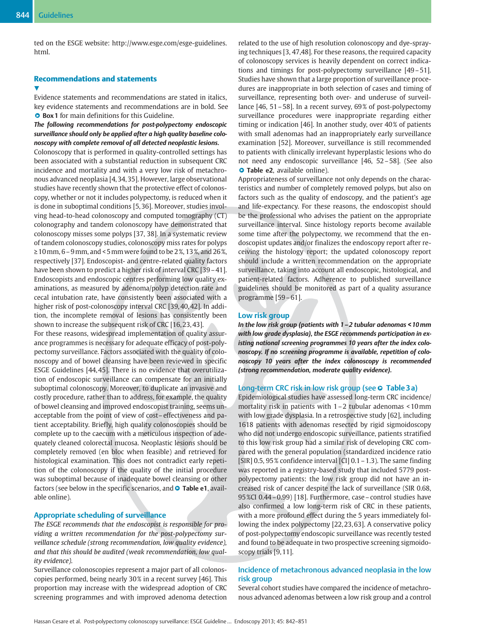v,

ted on the ESGE website: http://www.esge.com/esge-guidelines. html.

# Recommendations and statements

Evidence statements and recommendations are stated in italics, key evidence statements and recommendations are in bold. See **Box 1** for main definitions for this Guideline.

The following recommendations for post-polypectomy endoscopic surveillance should only be applied after a high quality baseline colonoscopy with complete removal of all detected neoplastic lesions.

Colonoscopy that is performed in quality-controlled settings has been associated with a substantial reduction in subsequent CRC incidence and mortality and with a very low risk of metachronous advanced neoplasia [4, 34, 35]. However, large observational studies have recently shown that the protective effect of colonoscopy, whether or not it includes polypectomy, is reduced when it is done in suboptimal conditions [5, 36]. Moreover, studies involving head-to-head colonoscopy and computed tomography (CT) colonography and tandem colonoscopy have demonstrated that colonoscopy misses some polyps [37, 38]. In a systematic review of tandem colonoscopy studies, colonoscopy miss rates for polyps  $\geq 10$  mm, 6 – 9 mm, and < 5 mm were found to be 2%, 13%, and 26%, respectively [37]. Endoscopist- and centre-related quality factors have been shown to predict a higher risk of interval CRC [39 - 41]. Endoscopists and endoscopic centres performing low quality examinations, as measured by adenoma/polyp detection rate and cecal intubation rate, have consistently been associated with a higher risk of post-colonoscopy interval CRC [39, 40, 42]. In addition, the incomplete removal of lesions has consistently been shown to increase the subsequent risk of CRC [16, 23, 43].

For these reasons, widespread implementation of quality assurance programmes is necessary for adequate efficacy of post-polypectomy surveillance. Factors associated with the quality of colonoscopy and of bowel cleansing have been reviewed in specific ESGE Guidelines [44, 45]. There is no evidence that overutilization of endoscopic surveillance can compensate for an initially suboptimal colonoscopy. Moreover, to duplicate an invasive and costly procedure, rather than to address, for example, the quality of bowel cleansing and improved endoscopist training, seems unacceptable from the point of view of cost–effectiveness and patient acceptability. Briefly, high quality colonoscopies should be complete up to the caecum with a meticulous inspection of adequately cleaned colorectal mucosa. Neoplastic lesions should be completely removed (en bloc when feasible) and retrieved for histological examination. This does not contradict early repetition of the colonoscopy if the quality of the initial procedure was suboptimal because of inadequate bowel cleansing or other factors (see below in the specific scenarios, and  $\bullet$  Table e1, available online).

### Appropriate scheduling of surveillance

The ESGE recommends that the endoscopist is responsible for providing a written recommendation for the post-polypectomy surveillance schedule (strong recommendation, low quality evidence), and that this should be audited (weak recommendation, low quality evidence).

Surveillance colonoscopies represent a major part of all colonoscopies performed, being nearly 30 % in a recent survey [46]. This proportion may increase with the widespread adoption of CRC screening programmes and with improved adenoma detection related to the use of high resolution colonoscopy and dye-spraying techniques [3, 47,48]. For these reasons, the required capacity of colonoscopy services is heavily dependent on correct indications and timings for post-polypectomy surveillance [49–51]. Studies have shown that a large proportion of surveillance procedures are inappropriate in both selection of cases and timing of surveillance, representing both over- and underuse of surveillance [46, 51 – 58]. In a recent survey, 69% of post-polypectomy surveillance procedures were inappropriate regarding either timing or indication [46]. In another study, over 40% of patients with small adenomas had an inappropriately early surveillance examination [52]. Moreover, surveillance is still recommended to patients with clinically irrelevant hyperplastic lesions who do not need any endoscopic surveillance [46, 52–58]. (See also **O** Table e2, available online).

Appropriateness of surveillance not only depends on the characteristics and number of completely removed polyps, but also on factors such as the quality of endoscopy, and the patient's age and life-expectancy. For these reasons, the endoscopist should be the professional who advises the patient on the appropriate surveillance interval. Since histology reports become available some time after the polypectomy, we recommend that the endoscopist updates and/or finalizes the endoscopy report after receiving the histology report; the updated colonoscopy report should include a written recommendation on the appropriate surveillance, taking into account all endoscopic, histological, and patient-related factors. Adherence to published surveillance guidelines should be monitored as part of a quality assurance programme [59–61].

#### Low risk group

In the low risk group (patients with 1–2 tubular adenomas < 10mm with low grade dysplasia), the ESGE recommends participation in existing national screening programmes 10 years after the index colonoscopy. If no screening programme is available, repetition of colonoscopy 10 years after the index colonoscopy is recommended (strong recommendation, moderate quality evidence).

#### Long-term CRC risk in low risk group (see  $\circ$  Table 3 a)

Epidemiological studies have assessed long-term CRC incidence/ mortality risk in patients with 1–2 tubular adenomas < 10mm with low grade dysplasia. In a retrospective study [62], including 1618 patients with adenomas resected by rigid sigmoidoscopy who did not undergo endoscopic surveillance, patients stratified to this low risk group had a similar risk of developing CRC compared with the general population (standardized incidence ratio  $[SIR]$  0.5, 95% confidence interval  $[CI]$  0.1 – 1.3). The same finding was reported in a registry-based study that included 5779 postpolypectomy patients: the low risk group did not have an increased risk of cancer despite the lack of surveillance (SIR 0.68, 95 %CI 0.44–0.99) [18]. Furthermore, case–control studies have also confirmed a low long-term risk of CRC in these patients, with a more profound effect during the 5 years immediately following the index polypectomy [22, 23, 63]. A conservative policy of post-polypectomy endoscopic surveillance was recently tested and found to be adequate in two prospective screening sigmoidoscopy trials [9, 11].

# Incidence of metachronous advanced neoplasia in the low risk group

Several cohort studies have compared the incidence of metachronous advanced adenomas between a low risk group and a control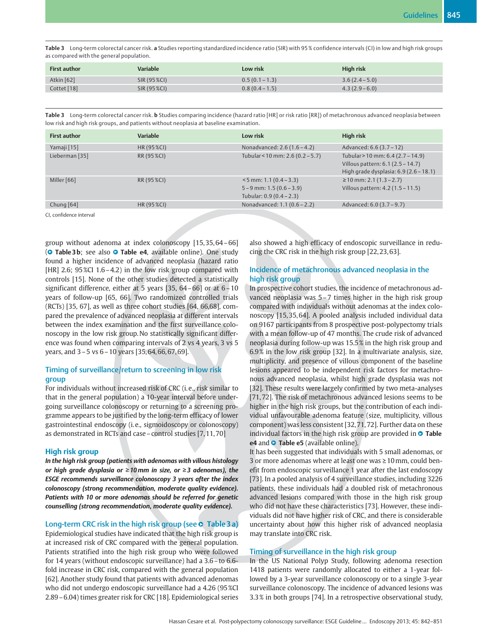Table 3 Long-term colorectal cancer risk. a Studies reporting standardized incidence ratio (SIR) with 95 % confidence intervals (CI) in low and high risk groups as compared with the general population.

| <b>First author</b> | Variable     | Low risk         | High risk      |
|---------------------|--------------|------------------|----------------|
| Atkin $[62]$        | SIR (95 %CI) | $0.5(0.1 - 1.3)$ | $3.6(2.4-5.0)$ |
| Cottet [18]         | SIR (95 %CI) | $0.8(0.4-1.5)$   | $4.3(2.9-6.0)$ |

Table 3 Long-term colorectal cancer risk. b Studies comparing incidence (hazard ratio [HR] or risk ratio [RR]) of metachronous advanced neoplasia between low risk and high risk groups, and patients without neoplasia at baseline examination.

| <b>First author</b> | <b>Variable</b> | Low risk                                                                               | High risk                                                                                                        |
|---------------------|-----------------|----------------------------------------------------------------------------------------|------------------------------------------------------------------------------------------------------------------|
| Yamaji [15]         | HR (95 % CI)    | Nonadvanced: 2.6 (1.6 - 4.2)                                                           | Advanced: 6.6 (3.7 – 12)                                                                                         |
| Lieberman [35]      | RR (95 %CI)     | Tubular < 10 mm: 2.6 (0.2 - 5.7)                                                       | Tubular > 10 mm: 6.4 (2.7 - 14.9)<br>Villous pattern: 6.1 (2.5 - 14.7)<br>High grade dysplasia: 6.9 (2.6 - 18.1) |
| Miller [66]         | RR (95 %CI)     | $<$ 5 mm: 1.1 (0.4 – 3.3)<br>$5 - 9$ mm: 1.5 $(0.6 - 3.9)$<br>Tubular: 0.9 (0.4 - 2.3) | $\geq$ 10 mm: 2.1 (1.3 – 2.7)<br>Villous pattern: 4.2 (1.5 - 11.5)                                               |
| Chung $[64]$        | HR (95 %CI)     | Nonadvanced: 1.1 (0.6 - 2.2)                                                           | Advanced: 6.0 (3.7 – 9.7)                                                                                        |

CI, confidence interval

group without adenoma at index colonoscopy [15, 35, 64–66] (**O** Table 3b; see also **O** Table e4, available online). One study found a higher incidence of advanced neoplasia (hazard ratio [HR] 2.6; 95 %CI 1.6 - 4.2) in the low risk group compared with controls [15]. None of the other studies detected a statistically significant difference, either at 5 years [35, 64–66] or at 6–10 years of follow-up [65, 66]. Two randomized controlled trials (RCTs) [35, 67], as well as three cohort studies [64, 66,68], compared the prevalence of advanced neoplasia at different intervals between the index examination and the first surveillance colonoscopy in the low risk group. No statistically significant difference was found when comparing intervals of 2 vs 4 years, 3 vs 5 years, and 3–5 vs 6–10 years [35, 64, 66, 67, 69].

# Timing of surveillance/return to screening in low risk group

For individuals without increased risk of CRC (i. e., risk similar to that in the general population) a 10-year interval before undergoing surveillance colonoscopy or returning to a screening programme appears to be justified by the long-term efficacy of lower gastrointestinal endoscopy (i. e., sigmoidoscopy or colonoscopy) as demonstrated in RCTs and case–control studies [7, 11, 70]

#### High risk group

In the high risk group (patients with adenomas with villous histology or high grade dysplasia or  $\geq 10$  mm in size, or  $\geq 3$  adenomas), the ESGE recommends surveillance colonoscopy 3 years after the index colonoscopy (strong recommendation, moderate quality evidence). Patients with 10 or more adenomas should be referred for genetic counselling (strong recommendation, moderate quality evidence).

# Long-term CRC risk in the high risk group (see  $\circ$  Table 3 a)

Epidemiological studies have indicated that the high risk group is at increased risk of CRC compared with the general population. Patients stratified into the high risk group who were followed for 14 years (without endoscopic surveillance) had a 3.6–to 6.6 fold increase in CRC risk, compared with the general population [62]. Another study found that patients with advanced adenomas who did not undergo endoscopic surveillance had a 4.26 (95 %CI 2.89–6.04) times greater risk for CRC [18]. Epidemiological series

also showed a high efficacy of endoscopic surveillance in reducing the CRC risk in the high risk group [22, 23, 63].

# Incidence of metachronous advanced neoplasia in the high risk group

In prospective cohort studies, the incidence of metachronous advanced neoplasia was 5–7 times higher in the high risk group compared with individuals without adenomas at the index colonoscopy [15, 35, 64]. A pooled analysis included individual data on 9167 participants from 8 prospective post-polypectomy trials with a mean follow-up of 47 months. The crude risk of advanced neoplasia during follow-up was 15.5 % in the high risk group and 6.9 % in the low risk group [32]. In a multivariate analysis, size, multiplicity, and presence of villous component of the baseline lesions appeared to be independent risk factors for metachronous advanced neoplasia, whilst high grade dysplasia was not [32]. These results were largely confirmed by two meta-analyses [71, 72]. The risk of metachronous advanced lesions seems to be higher in the high risk groups, but the contribution of each individual unfavourable adenoma feature (size, multiplicity, villous component) was less consistent [32, 71, 72]. Further data on these individual factors in the high risk group are provided in  $\circ$  Table e4 and  $\bullet$  Table e5 (available online).

It has been suggested that individuals with 5 small adenomas, or 3 or more adenomas where at least one was ≥10mm, could benefit from endoscopic surveillance 1 year after the last endoscopy [73]. In a pooled analysis of 4 surveillance studies, including 3226 patients, these individuals had a doubled risk of metachronous advanced lesions compared with those in the high risk group who did not have these characteristics [73]. However, these individuals did not have higher risk of CRC, and there is considerable uncertainty about how this higher risk of advanced neoplasia may translate into CRC risk.

# Timing of surveillance in the high risk group

In the US National Polyp Study, following adenoma resection 1418 patients were randomly allocated to either a 1-year followed by a 3-year surveillance colonoscopy or to a single 3-year surveillance colonoscopy. The incidence of advanced lesions was 3.3 % in both groups [74]. In a retrospective observational study,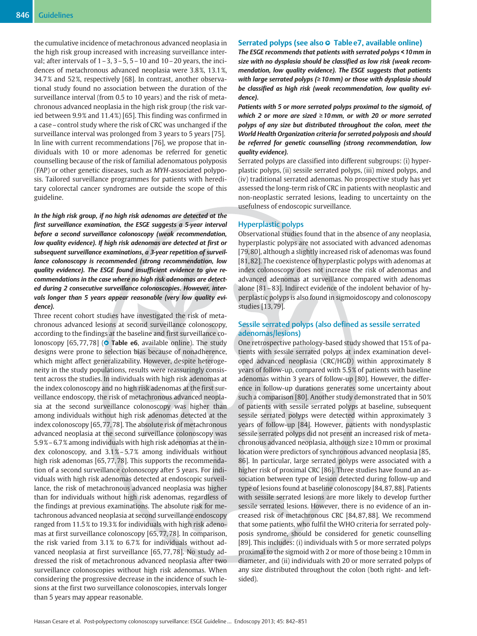the cumulative incidence of metachronous advanced neoplasia in the high risk group increased with increasing surveillance interval; after intervals of  $1-3$ ,  $3-5$ ,  $5-10$  and  $10-20$  years, the incidences of metachronous advanced neoplasia were 3.8 %, 13.1 %, 34.7 % and 52 %, respectively [68]. In contrast, another observational study found no association between the duration of the surveillance interval (from 0.5 to 10 years) and the risk of metachronous advanced neoplasia in the high risk group (the risk varied between 9.9% and 11.4%) [65]. This finding was confirmed in a case–control study where the risk of CRC was unchanged if the surveillance interval was prolonged from 3 years to 5 years [75]. In line with current recommendations [76], we propose that individuals with 10 or more adenomas be referred for genetic counselling because of the risk of familial adenomatous polyposis (FAP) or other genetic diseases, such as MYH-associated polyposis. Tailored surveillance programmes for patients with hereditary colorectal cancer syndromes are outside the scope of this guideline.

In the high risk group, if no high risk adenomas are detected at the first surveillance examination, the ESGE suggests a 5-year interval before a second surveillance colonoscopy (weak recommendation, low quality evidence). If high risk adenomas are detected at first or subsequent surveillance examinations, a 3-year repetition of surveillance colonoscopy is recommended (strong recommendation, low quality evidence). The ESGE found insufficient evidence to give recommendations in the case where no high risk adenomas are detected during 2 consecutive surveillance colonoscopies. However, intervals longer than 5 years appear reasonable (very low quality evidence).

Three recent cohort studies have investigated the risk of metachronous advanced lesions at second surveillance colonoscopy, according to the findings at the baseline and first surveillance colonoscopy  $[65, 77, 78]$  ( $\bullet$  Table e6, available online). The study designs were prone to selection bias because of nonadherence, which might affect generalizability. However, despite heterogeneity in the study populations, results were reassuringly consistent across the studies. In individuals with high risk adenomas at the index colonoscopy and no high risk adenomas at the first surveillance endoscopy, the risk of metachronous advanced neoplasia at the second surveillance colonoscopy was higher than among individuals without high risk adenomas detected at the index colonoscopy [65, 77, 78]. The absolute risk of metachronous advanced neoplasia at the second surveillance colonoscopy was 5.9 %–6.7 % among individuals with high risk adenomas at the index colonoscopy, and 3.1 %–5.7 % among individuals without high risk adenomas [65, 77, 78]. This supports the recommendation of a second surveillance colonoscopy after 5 years. For individuals with high risk adenomas detected at endoscopic surveillance, the risk of metachronous advanced neoplasia was higher than for individuals without high risk adenomas, regardless of the findings at previous examinations. The absolute risk for metachronous advanced neoplasia at second surveillance endoscopy ranged from 11.5 % to 19.3 % for individuals with high risk adenomas at first surveillance colonoscopy [65, 77, 78]. In comparison, the risk varied from 3.1% to 6.7% for individuals without advanced neoplasia at first surveillance [65, 77, 78]. No study addressed the risk of metachronous advanced neoplasia after two surveillance colonoscopies without high risk adenomas. When considering the progressive decrease in the incidence of such lesions at the first two surveillance colonoscopies, intervals longer than 5 years may appear reasonable.

### Serrated polyps (see also  $\circ$  Table e7, available online)

The ESGE recommends that patients with serrated polyps < 10mm in size with no dysplasia should be classified as low risk (weak recommendation, low quality evidence). The ESGE suggests that patients with large serrated polyps (≥10mm) or those with dysplasia should be classified as high risk (weak recommendation, low quality evidence).

Patients with 5 or more serrated polyps proximal to the sigmoid, of which 2 or more are sized ≥10mm, or with 20 or more serrated polyps of any size but distributed throughout the colon, meet the World Health Organization criteria for serrated polyposis and should be referred for genetic counselling (strong recommendation, low quality evidence).

Serrated polyps are classified into different subgroups: (i) hyperplastic polyps, (ii) sessile serrated polyps, (iii) mixed polyps, and (iv) traditional serrated adenomas. No prospective study has yet assessed the long-term risk of CRC in patients with neoplastic and non-neoplastic serrated lesions, leading to uncertainty on the usefulness of endoscopic surveillance.

#### Hyperplastic polyps

Observational studies found that in the absence of any neoplasia, hyperplastic polyps are not associated with advanced adenomas [79, 80], although a slightly increased risk of adenomas was found [81, 82]. The coexistence of hyperplastic polyps with adenomas at index colonoscopy does not increase the risk of adenomas and advanced adenomas at surveillance compared with adenomas alone [81–83]. Indirect evidence of the indolent behavior of hyperplastic polyps is also found in sigmoidoscopy and colonoscopy studies [13, 79].

# Sessile serrated polyps (also defined as sessile serrated adenomas/lesions)

One retrospective pathology-based study showed that 15 % of patients with sessile serrated polyps at index examination developed advanced neoplasia (CRC/HGD) within approximately 8 years of follow-up, compared with 5.5 % of patients with baseline adenomas within 3 years of follow-up [80]. However, the difference in follow-up durations generates some uncertainty about such a comparison [80]. Another study demonstrated that in 50 % of patients with sessile serrated polyps at baseline, subsequent sessile serrated polyps were detected within approximately 3 years of follow-up [84]. However, patients with nondysplastic sessile serrated polyps did not present an increased risk of metachronous advanced neoplasia, although size≥10mm or proximal location were predictors of synchronous advanced neoplasia [85, 86]. In particular, large serrated polyps were associated with a higher risk of proximal CRC [86]. Three studies have found an association between type of lesion detected during follow-up and type of lesions found at baseline colonoscopy [84, 87, 88]. Patients with sessile serrated lesions are more likely to develop further sessile serrated lesions. However, there is no evidence of an increased risk of metachronous CRC [84, 87, 88]. We recommend that some patients, who fulfil the WHO criteria for serrated polyposis syndrome, should be considered for genetic counselling [89]. This includes: (i) individuals with 5 or more serrated polyps proximal to the sigmoid with 2 or more of those being ≥10mm in diameter, and (ii) individuals with 20 or more serrated polyps of any size distributed throughout the colon (both right- and leftsided).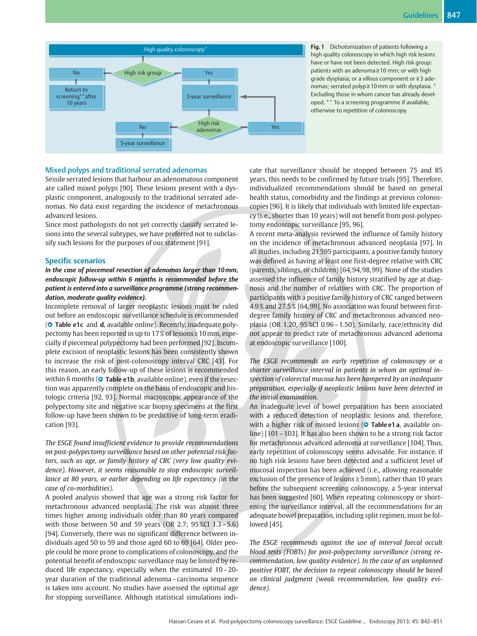

Fig. 1 Dichotomization of patients following a high quality colonoscopy in which high risk lesions have or have not been detected. High risk group: patients with an adenoma ≥10 mm; or with high grade dysplasia; or a villous component or ≥3 adenomas; serrated polyp≥10mm or with dysplasia. \* Excluding those in whom cancer has already developed. \*\* To a screening programme if available, otherwise to repetition of colonoscopy.

# Mixed polyps and traditional serrated adenomas

Sessile serrated lesions that harbour an adenomatous component are called mixed polyps [90]. These lesions present with a dysplastic component, analogously to the traditional serrated adenomas. No data exist regarding the incidence of metachronous advanced lesions.

Since most pathologists do not yet correctly classify serrated lesions into the several subtypes, we have preferred not to subclassify such lesions for the purposes of our statement [91].

#### Specific scenarios

In the case of piecemeal resection of adenomas larger than 10mm, endoscopic follow-up within 6 months is recommended before the patient is entered into a surveillance programme (strong recommendation, moderate quality evidence).

Incomplete removal of larger neoplastic lesions must be ruled out before an endoscopic surveillance schedule is recommended (**O** Table e1c and d, available online). Recently, inadequate polypectomy has been reported in up to 17 % of lesions≥10mm, especially if piecemeal polypectomy had been performed [92]. Incomplete excision of neoplastic lesions has been consistently shown to increase the risk of post-colonoscopy interval CRC [43]. For this reason, an early follow-up of these lesions is recommended within 6 months ( $\bullet$  Table e1b, available online), even if the resection was apparently complete on the basis of endoscopic and histologic criteria [92, 93]. Normal macroscopic appearance of the polypectomy site and negative scar biopsy specimens at the first follow-up have been shown to be predictive of long-term eradication [93].

The ESGE found insufficient evidence to provide recommendations on post-polypectomy surveillance based on other potential risk factors, such as age, or family history of CRC (very low quality evidence). However, it seems reasonable to stop endoscopic surveillance at 80 years, or earlier depending on life expectancy (in the case of co-morbidities).

A pooled analysis showed that age was a strong risk factor for metachronous advanced neoplasia. The risk was almost three times higher among individuals older than 80 years compared with those between 50 and 59 years (OR 2.7; 95 %CI 1.3–5.6) [94]. Conversely, there was no significant difference between individuals aged 50 to 59 and those aged 60 to 69 [64]. Older people could be more prone to complications of colonoscopy, and the potential benefit of endoscopic surveillance may be limited by reduced life expectancy, especially when the estimated 10–20 year duration of the traditional adenoma–carcinoma sequence is taken into account. No studies have assessed the optimal age for stopping surveillance. Although statistical simulations indicate that surveillance should be stopped between 75 and 85 years, this needs to be confirmed by future trials [95]. Therefore, individualized recommendations should be based on general health status, comorbidity and the findings at previous colonoscopies [96]. It is likely that individuals with limited life expectancy (i. e., shorter than 10 years) will not benefit from post-polypectomy endoscopic surveillance [95, 96].

A recent meta-analysis reviewed the influence of family history on the incidence of metachronous advanced neoplasia [97]. In all studies, including 21 595 participants, a positive family history was defined as having at least one first-degree relative with CRC (parents, siblings, or children) [64, 94, 98, 99]. None of the studies assessed the influence of family history stratified by age at diagnosis and the number of relatives with CRC. The proportion of participants with a positive family history of CRC ranged between 4.9 % and 27.5 % [64, 99]. No association was found between firstdegree family history of CRC and metachronous advanced neoplasia (OR 1.20, 95 %CI 0.96–1.50). Similarly, race/ethnicity did not appear to predict rate of metachronous advanced adenoma at endoscopic surveillance [100].

The ESGE recommends an early repetition of colonoscopy or a shorter surveillance interval in patients in whom an optimal inspection of colorectal mucosa has been hampered by an inadequate preparation, especially if neoplastic lesions have been detected in the initial examination.

An inadequate level of bowel preparation has been associated with a reduced detection of neoplastic lesions and, therefore, with a higher risk of missed lesions (O Table e1 a, available online) [101–103]. It has also been shown to be a strong risk factor for metachronous advanced adenoma at surveillance [104]. Thus, early repetition of colonoscopy seems advisable. For instance, if no high risk lesions have been detected and a sufficient level of mucosal inspection has been achieved (i. e., allowing reasonable exclusion of the presence of lesions ≥5mm), rather than 10 years before the subsequent screening colonoscopy, a 5-year interval has been suggested [60]. When repeating colonoscopy or shortening the surveillance interval, all the recommendations for an adequate bowel preparation, including split regimen, must be followed [45].

The ESGE recommends against the use of interval faecal occult blood tests (FOBTs) for post-polypectomy surveillance (strong recommendation, low quality evidence). In the case of an unplanned positive FOBT, the decision to repeat colonoscopy should be based on clinical judgment (weak recommendation, low quality evidence).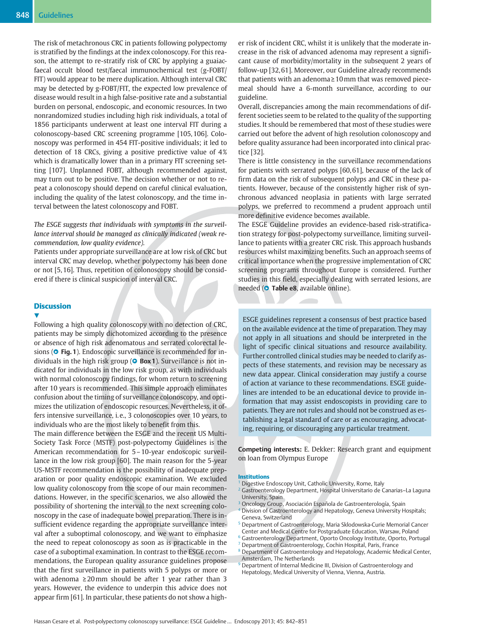The risk of metachronous CRC in patients following polypectomy is stratified by the findings at the index colonoscopy. For this reason, the attempt to re-stratify risk of CRC by applying a guaiacfaecal occult blood test/faecal immunochemical test (g-FOBT/ FIT) would appear to be mere duplication. Although interval CRC may be detected by g-FOBT/FIT, the expected low prevalence of disease would result in a high false-positive rate and a substantial burden on personal, endoscopic, and economic resources. In two nonrandomized studies including high risk individuals, a total of 1856 participants underwent at least one interval FIT during a colonoscopy-based CRC screening programme [105, 106]. Colonoscopy was performed in 454 FIT-positive individuals; it led to detection of 18 CRCs, giving a positive predictive value of 4% which is dramatically lower than in a primary FIT screening setting [107]. Unplanned FOBT, although recommended against, may turn out to be positive. The decision whether or not to repeat a colonoscopy should depend on careful clinical evaluation, including the quality of the latest colonoscopy, and the time interval between the latest colonoscopy and FOBT.

# The ESGE suggests that individuals with symptoms in the surveillance interval should be managed as clinically indicated (weak recommendation, low quality evidence).

Patients under appropriate surveillance are at low risk of CRC but interval CRC may develop, whether polypectomy has been done or not [5, 16]. Thus, repetition of colonoscopy should be considered if there is clinical suspicion of interval CRC.

# **Discussion**

v Following a high quality colonoscopy with no detection of CRC, patients may be simply dichotomized according to the presence or absence of high risk adenomatous and serrated colorectal lesions ( $\bullet$  Fig. 1). Endoscopic surveillance is recommended for individuals in the high risk group ( $\bullet$  Box 1). Surveillance is not indicated for individuals in the low risk group, as with individuals with normal colonoscopy findings, for whom return to screening after 10 years is recommended. This simple approach eliminates confusion about the timing of surveillance colonoscopy, and optimizes the utilization of endoscopic resources. Nevertheless, it offers intensive surveillance, i. e., 3 colonoscopies over 10 years, to individuals who are the most likely to benefit from this.

The main difference between the ESGE and the recent US Multi-Society Task Force (MSTF) post-polypectomy Guidelines is the American recommendation for 5–10-year endoscopic surveillance in the low risk group [60]. The main reason for the 5-year US-MSTF recommendation is the possibility of inadequate preparation or poor quality endoscopic examination. We excluded low quality colonoscopy from the scope of our main recommendations. However, in the specific scenarios, we also allowed the possibility of shortening the interval to the next screening colonoscopy in the case of inadequate bowel preparation. There is insufficient evidence regarding the appropriate surveillance interval after a suboptimal colonoscopy, and we want to emphasize the need to repeat colonoscopy as soon as is practicable in the case of a suboptimal examination. In contrast to the ESGE recommendations, the European quality assurance guidelines propose that the first surveillance in patients with 5 polyps or more or with adenoma  $\geq 20$  mm should be after 1 year rather than 3 years. However, the evidence to underpin this advice does not appear firm [61]. In particular, these patients do not show a higher risk of incident CRC, whilst it is unlikely that the moderate increase in the risk of advanced adenoma may represent a significant cause of morbidity/mortality in the subsequent 2 years of follow-up [32, 61]. Moreover, our Guideline already recommends that patients with an adenoma≥10mm that was removed piecemeal should have a 6-month surveillance, according to our guideline.

Overall, discrepancies among the main recommendations of different societies seem to be related to the quality of the supporting studies. It should be remembered that most of these studies were carried out before the advent of high resolution colonoscopy and before quality assurance had been incorporated into clinical practice [32].

There is little consistency in the surveillance recommendations for patients with serrated polyps [60, 61], because of the lack of firm data on the risk of subsequent polyps and CRC in these patients. However, because of the consistently higher risk of synchronous advanced neoplasia in patients with large serrated polyps, we preferred to recommend a prudent approach until more definitive evidence becomes available.

The ESGE Guideline provides an evidence-based risk-stratification strategy for post-polypectomy surveillance, limiting surveillance to patients with a greater CRC risk. This approach husbands resources whilst maximizing benefits. Such an approach seems of critical importance when the progressive implementation of CRC screening programs throughout Europe is considered. Further studies in this field, especially dealing with serrated lesions, are needed (O Table e8, available online).

ESGE guidelines represent a consensus of best practice based on the available evidence at the time of preparation. They may not apply in all situations and should be interpreted in the light of specific clinical situations and resource availability. Further controlled clinical studies may be needed to clarify aspects of these statements, and revision may be necessary as new data appear. Clinical consideration may justify a course of action at variance to these recommendations. ESGE guidelines are intended to be an educational device to provide information that may assist endoscopists in providing care to patients. They are not rules and should not be construed as establishing a legal standard of care or as encouraging, advocating, requiring, or discouraging any particular treatment.

Competing interests: E. Dekker: Research grant and equipment on loan from Olympus Europe

#### Institutions

- <sup>1</sup> Digestive Endoscopy Unit, Catholic University, Rome, Italy
- <sup>2</sup> Gastroenterology Department, Hospital Universitario de Canarias–La Laguna University, Spain
- <sup>3</sup> Oncology Group, Asociación Española de Gastroenterología, Spain
- Division of Gastroenterology and Hepatology, Geneva University Hospitals; Geneva, Switzerland
- <sup>5</sup> Department of Gastroenterology, Maria Sklodowska-Curie Memorial Cancer Center and Medical Centre for Postgraduate Education, Warsaw, Poland
- <sup>6</sup> Gastroenterology Department, Oporto Oncology Institute, Oporto, Portugal
- <sup>7</sup> Department of Gastroenterology, Cochin Hospital, Paris, France <sup>8</sup> Department of Gastroenterology and Hepatology, Academic Medical Center,
- Amsterdam, The Netherlands
- <sup>9</sup> Department of Internal Medicine III, Division of Gastroenterology and Hepatology, Medical University of Vienna, Vienna, Austria.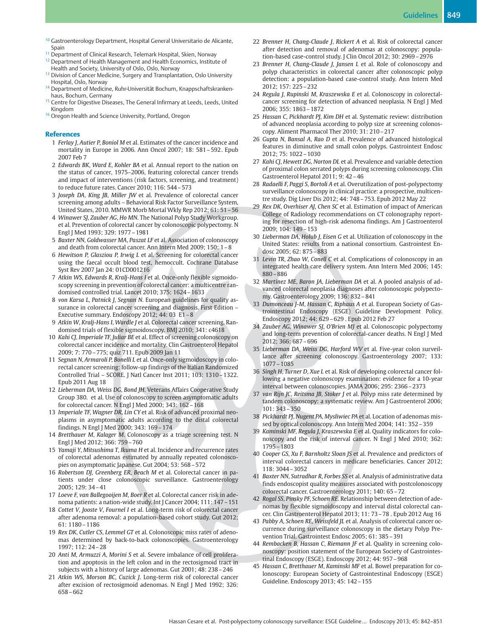- <sup>10</sup> Gastroenterology Department, Hospital General Universitario de Alicante, Spain
- <sup>11</sup> Department of Clinical Research, Telemark Hospital, Skien, Norway
- <sup>12</sup> Department of Health Management and Health Economics, Institute of Health and Society, University of Oslo, Oslo, Norway
- <sup>13</sup> Division of Cancer Medicine, Surgery and Transplantation, Oslo University Hospital, Oslo, Norway
- <sup>14</sup> Department of Medicine, Ruhr-Universität Bochum, Knappschaftskrankenhaus, Bochum, Germany
- <sup>15</sup> Centre for Digestive Diseases, The General Infirmary at Leeds, Leeds, United Kingdom
- <sup>16</sup> Oregon Health and Science University, Portland, Oregon

#### References

- 1. Ferlay J, Autier P, Boniol M et al. Estimates of the cancer incidence and mortality in Europe in 2006. Ann Oncol 2007; 18: 581–592. Epub 2007 Feb 7
- 2 Edwards BK, Ward E, Kohler BA et al. Annual report to the nation on the status of cancer, 1975–2006, featuring colorectal cancer trends and impact of interventions (risk factors, screening, and treatment) to reduce future rates. Cancer 2010; 116: 544–573
- 3 Joseph DA, King JB, Miller JW et al. Prevalence of colorectal cancer screening among adults – Behavioral Risk Factor Surveillance System, United States, 2010. MMWR Morb Mortal Wkly Rep 2012; 61: 51–56
- 4 Winawer SJ, Zauber AG, Ho MN. The National Polyp Study Workgroup. et al. Prevention of colorectal cancer by colonoscopic polypectomy. N Engl J Med 1993; 329: 1977–1981
- 5 Baxter NN, Goldwasser MA, Paszat LF et al. Association of colonoscopy and death from colorectal cancer. Ann Intern Med 2009; 150: 1–8
- 6 Hewitson P, Glasziou P, Irwig L et al. Screening for colorectal cancer using the faecal occult blood test, hemoccult. Cochrane Database Syst Rev 2007 Jan 24: 01CD001216
- 7 Atkin WS, Edwards R, Kralj-Hans I et al. Once-only flexible sigmoidoscopy screening in prevention of colorectal cancer: a multicentre randomised controlled trial. Lancet 2010; 375: 1624–1633
- 8 von Karsa L, Patnick J, Segnan N. European guidelines for quality assurance in colorectal cancer screening and diagnosis. First Edition – Executive summary. Endoscopy 2012; 44: 03 E1–8
- 9 Atkin W, Kralj-Hans I, Wardle J et al. Colorectal cancer screening. Randomised trials of flexible sigmoidoscopy. BMJ 2010; 341: c4618
- 10 Kahi CJ, Imperiale TF, Juliar BE et al. Effect of screening colonoscopy on colorectal cancer incidence and mortality. Clin Gastroenterol Hepatol 2009; 7: 770–775; quiz 711. Epub 2009 Jan 11
- 11 Segnan N, Armaroli P, Bonelli L et al. Once-only sigmoidoscopy in colorectal cancer screening: follow-up findings of the Italian Randomized Controlled Trial – SCORE. J Natl Cancer Inst 2011; 103: 1310–1322. Epub 2011 Aug 18
- 12 Lieberman DA, Weiss DG, Bond JH. Veterans Affairs Cooperative Study Group 380. et al. Use of colonoscopy to screen asymptomatic adults for colorectal cancer. N Engl J Med 2000; 343: 162–168
- 13 Imperiale TF, Wagner DR, Lin CY et al. Risk of advanced proximal neoplasms in asymptomatic adults according to the distal colorectal findings. N Engl J Med 2000; 343: 169–174
- 14 Bretthauer M, Kalager M. Colonoscopy as a triage screening test. N Engl J Med 2012; 366: 759–760
- 15 Yamaji Y, Mitsushima T, Ikuma H et al. Incidence and recurrence rates of colorectal adenomas estimated by annually repeated colonoscopies on asymptomatic Japanese. Gut 2004; 53: 568–572
- 16 Robertson DJ, Greenberg ER, Beach M et al. Colorectal cancer in patients under close colonoscopic surveillance. Gastroenterology 2005; 129: 34–41
- 17 Loeve F, van Ballegooijen M, Boer R et al. Colorectal cancer risk in adenoma patients: a nation-wide study. Int J Cancer 2004; 111: 147–151
- 18 Cottet V, Jooste V, Fournel I et al. Long-term risk of colorectal cancer after adenoma removal: a population-based cohort study. Gut 2012; 61: 1180–1186
- 19 Rex DK, Cutler CS, Lemmel GT et al. Colonoscopic miss rates of adenomas determined by back-to-back colonoscopies. Gastroenterology 1997; 112: 24–28
- 20 Anti M, Armuzzi A, Morini S et al. Severe imbalance of cell proliferation and apoptosis in the left colon and in the rectosigmoid tract in subjects with a history of large adenomas. Gut 2001; 48: 238–246
- 21 Atkin WS, Morson BC, Cuzick J. Long-term risk of colorectal cancer after excision of rectosigmoid adenomas. N Engl J Med 1992; 326: 658–662
- 22 Brenner H, Chang-Claude J, Rickert A et al. Risk of colorectal cancer after detection and removal of adenomas at colonoscopy: population-based case-control study. J Clin Oncol 2012; 30: 2969–2976
- 23 Brenner H, Chang-Claude J, Jansen L et al. Role of colonoscopy and polyp characteristics in colorectal cancer after colonoscopic polyp detection: a population-based case-control study. Ann Intern Med 2012; 157: 225–232
- 24 Regula J, Rupinski M, Kraszewska E et al. Colonoscopy in colorectalcancer screening for detection of advanced neoplasia. N Engl J Med 2006; 355: 1863–1872
- 25 Hassan C, Pickhardt PJ, Kim DH et al. Systematic review: distribution of advanced neoplasia according to polyp size at screening colonoscopy. Aliment Pharmacol Ther 2010; 31: 210–217
- 26 Gupta N, Bansal A, Rao D et al. Prevalence of advanced histological features in diminutive and small colon polyps. Gastrointest Endosc 2012; 75: 1022–1030
- 27 Kahi CJ, Hewett DG, Norton DL et al. Prevalence and variable detection of proximal colon serrated polyps during screening colonoscopy. Clin Gastroenterol Hepatol 2011; 9: 42–46
- 28 Radaelli F, Paggi S, Bortoli A et al. Overutilization of post-polypectomy surveillance colonoscopy in clinical practice: a prospective, multicentre study. Dig Liver Dis 2012; 44: 748–753. Epub 2012 May 22
- 29 Rex DK, Overhiser AJ, Chen SC et al. Estimation of impact of American College of Radiology recommendations on CT colonography reporting for resection of high-risk adenoma findings. Am J Gastroenterol 2009; 104: 149–153
- 30 Lieberman DA, Holub J, Eisen G et al. Utilization of colonoscopy in the United States: results from a national consortium. Gastrointest Endosc 2005; 62: 875–883
- 31 Levin TR, Zhao W, Conell C et al. Complications of colonoscopy in an integrated health care delivery system. Ann Intern Med 2006; 145: 880–886
- 32 Martinez ME, Baron JA, Lieberman DA et al. A pooled analysis of advanced colorectal neoplasia diagnoses after colonoscopic polypectomy. Gastroenterology 2009; 136: 832–841
- 33 Dumonceau J-M, Hassan C, Riphaus A et al. European Society of Gastrointestinal Endoscopy (ESGE) Guideline Development Policy. Endoscopy 2012; 44: 629–629 . Epub 2012 Feb 27
- 34 Zauber AG, Winawer SJ, O'Brien MJ et al. Colonoscopic polypectomy and long-term prevention of colorectal-cancer deaths. N Engl J Med 2012; 366: 687–696
- 35 Lieberman DA, Weiss DG, Harford WV et al. Five-year colon surveillance after screening colonoscopy. Gastroenterology 2007; 133: 1077–1085
- 36 Singh H, Turner D, Xue L et al. Risk of developing colorectal cancer following a negative colonoscopy examination: evidence for a 10-year interval between colonoscopies. JAMA 2006; 295: 2366–2373
- 37 van Rijn JC, Reitsma JB, Stoker J et al. Polyp miss rate determined by tandem colonoscopy: a systematic review. Am J Gastroenterol 2006; 101: 343–350
- 38 Pickhardt PJ, Nugent PA, Mysliwiec PA et al. Location of adenomas missed by optical colonoscopy. Ann Intern Med 2004; 141: 352–359
- 39 Kaminski MF, Regula J, Kraszewska E et al. Quality indicators for colonoscopy and the risk of interval cancer. N Engl J Med 2010; 362: 1795–1803
- 40 Cooper GS, Xu F, Barnholtz Sloan JS et al. Prevalence and predictors of interval colorectal cancers in medicare beneficiaries. Cancer 2012; 118: 3044–3052
- 41 Baxter NN, Sutradhar R, Forbes SS et al. Analysis of administrative data finds endoscopist quality measures associated with postcolonoscopy colorectal cancer. Gastroenterology 2011; 140: 65–72
- 42 Rogal SS, Pinsky PF, Schoen RE. Relationship between detection of adenomas by flexible sigmoidoscopy and interval distal colorectal cancer. Clin Gastroenterol Hepatol 2013; 11: 73–78 . Epub 2012 Aug 16
- 43 Pabby A, Schoen RE, Weissfeld JL et al. Analysis of colorectal cancer occurrence during surveillance colonoscopy in the dietary Polyp Prevention Trial. Gastrointest Endosc 2005; 61: 385–391
- 44 Rembacken B, Hassan C, Riemann JF et al. Quality in screening colonoscopy: position statement of the European Society of Gastrointestinal Endoscopy (ESGE). Endoscopy 2012; 44: 957–968
- 45 Hassan C, Bretthauer M, Kaminski MF et al. Bowel preparation for colonoscopy: European Society of Gastrointestinal Endoscopy (ESGE) Guideline. Endoscopy 2013; 45: 142–155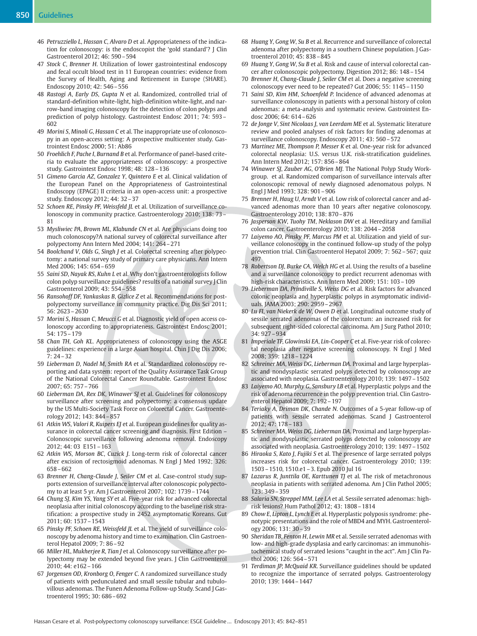- 46 Petruzziello L, Hassan C, Alvaro D et al. Appropriateness of the indication for colonoscopy: is the endoscopist the 'gold standard'? J Clin Gastroenterol 2012; 46: 590–594
- 47 Stock C, Brenner H. Utilization of lower gastrointestinal endoscopy and fecal occult blood test in 11 European countries: evidence from the Survey of Health, Aging and Retirement in Europe (SHARE). Endoscopy 2010; 42: 546–556
- 48 Rastogi A, Early DS, Gupta N et al. Randomized, controlled trial of standard-definition white-light, high-definition white-light, and narrow-band imaging colonoscopy for the detection of colon polyps and prediction of polyp histology. Gastrointest Endosc 2011; 74: 593– 602
- 49 Morini S, Minoli G, Hassan C et al. The inappropriate use of colonoscopy in an open-access setting: A prospective multicenter study. Gastrointest Endosc 2000; 51: Ab86
- 50 Froehlich F, Pache I, Burnand B et al. Performance of panel-based criteria to evaluate the appropriateness of colonoscopy: a prospective study. Gastrointest Endosc 1998; 48: 128–136
- 51 Gimeno Garcia AZ, Gonzalez Y, Quintero E et al. Clinical validation of the European Panel on the Appropriateness of Gastrointestinal Endoscopy (EPAGE) II criteria in an open-access unit: a prospective study. Endoscopy 2012; 44: 32–37
- 52 Schoen RE, Pinsky PF, Weissfeld JL et al. Utilization of surveillance colonoscopy in community practice. Gastroenterology 2010; 138: 73– 81
- 53 Mysliwiec PA, Brown ML, Klabunde CN et al. Are physicians doing too much colonoscopy?A national survey of colorectal surveillance after polypectomy Ann Intern Med 2004; 141: 264–271
- 54 Boolchand V, Olds G, Singh J et al. Colorectal screening after polypectomy: a national survey study of primary care physicians. Ann Intern Med 2006; 145: 654–659
- 55 Saini SD, Nayak RS, Kuhn L et al. Why don't gastroenterologists follow colon polyp surveillance guidelines? results of a national survey J Clin Gastroenterol 2009; 43: 554–558
- 56 Ransohoff DF, Yankaskas B, Gizlice Z et al. Recommendations for postpolypectomy surveillance in community practice. Dig Dis Sci 2011; 56: 2623–2630
- 57 Morini S, Hassan C, Meucci G et al. Diagnostic yield of open access colonoscopy according to appropriateness. Gastrointest Endosc 2001; 54: 175–179
- 58 Chan TH, Goh KL. Appropriateness of colonoscopy using the ASGE guidelines: experience in a large Asian hospital. Chin J Dig Dis 2006; 7: 24–32
- 59 Lieberman D, Nadel M, Smith RA et al. Standardized colonoscopy reporting and data system: report of the Quality Assurance Task Group of the National Colorectal Cancer Roundtable. Gastrointest Endosc 2007; 65: 757–766
- 60 Lieberman DA, Rex DK, Winawer SJ et al. Guidelines for colonoscopy surveillance after screening and polypectomy: a consensus update by the US Multi-Society Task Force on Colorectal Cancer. Gastroenterology 2012; 143: 844–857
- 61 Atkin WS, Valori R, Kuipers EJ et al. European guidelines for quality assurance in colorectal cancer screening and diagnosis. First Edition – Colonoscopic surveillance following adenoma removal. Endoscopy 2012; 44: 03 E151–163
- 62 Atkin WS, Morson BC, Cuzick J. Long-term risk of colorectal cancer after excision of rectosigmoid adenomas. N Engl J Med 1992; 326: 658–662
- 63 Brenner H, Chang-Claude J, Seiler CM et al. Case-control study supports extension of surveillance interval after colonoscopic polypectomy to at least 5 yr. Am J Gastroenterol 2007; 102: 1739–1744
- 64 Chung SJ, Kim YS, Yang SY et al. Five-year risk for advanced colorectal neoplasia after initial colonoscopy according to the baseline risk stratification: a prospective study in 2452 asymptomatic Koreans. Gut 2011; 60: 1537–1543
- 65 Pinsky PF, Schoen RE, Weissfeld JL et al. The yield of surveillance colonoscopy by adenoma history and time to examination. Clin Gastroenterol Hepatol 2009; 7: 86–92
- 66 Miller HL, Mukherjee R, Tian J et al. Colonoscopy surveillance after polypectomy may be extended beyond five years. J Clin Gastroenterol 2010; 44: e162–166
- 67 Jorgensen OD, Kronborg O, Fenger C. A randomized surveillance study of patients with pedunculated and small sessile tubular and tubulovillous adenomas. The Funen Adenoma Follow-up Study. Scand J Gastroenterol 1995; 30: 686–692
- 68 Huang Y, Gong W, Su B et al. Recurrence and surveillance of colorectal adenoma after polypectomy in a southern Chinese population. J Gastroenterol 2010; 45: 838–845
- 69 Huang Y, Gong W, Su B et al. Risk and cause of interval colorectal cancer after colonoscopic polypectomy. Digestion 2012; 86: 148–154
- 70 Brenner H, Chang-Claude J, Seiler CM et al. Does a negative screening colonoscopy ever need to be repeated? Gut 2006; 55: 1145–1150
- 71 Saini SD, Kim HM, Schoenfeld P. Incidence of advanced adenomas at surveillance colonoscopy in patients with a personal history of colon adenomas: a meta-analysis and systematic review. Gastrointest Endosc 2006; 64: 614–626
- 72 de Jonge V, Sint Nicolaas J, van Leerdam ME et al. Systematic literature review and pooled analyses of risk factors for finding adenomas at surveillance colonoscopy. Endoscopy 2011; 43: 560–572
- 73 Martinez ME, Thompson P, Messer K et al. One-year risk for advanced colorectal neoplasia: U.S. versus U.K. risk-stratification guidelines. Ann Intern Med 2012; 157: 856–864
- 74 Winawer SJ, Zauber AG, O'Brien MJ. The National Polyp Study Workgroup. et al. Randomized comparison of surveillance intervals after colonoscopic removal of newly diagnosed adenomatous polyps. N Engl J Med 1993; 328: 901–906
- 75 Brenner H, Haug U, Arndt V et al. Low risk of colorectal cancer and advanced adenomas more than 10 years after negative colonoscopy. Gastroenterology 2010; 138: 870–876
- 76 Jasperson KW, Tuohy TM, Neklason DW et al. Hereditary and familial colon cancer. Gastroenterology 2010; 138: 2044–2058
- 77 Laiyemo AO, Pinsky PF, Marcus PM et al. Utilization and yield of surveillance colonoscopy in the continued follow-up study of the polyp prevention trial. Clin Gastroenterol Hepatol 2009; 7: 562–567; quiz 497
- 78 Robertson DJ, Burke CA, Welch HG et al. Using the results of a baseline and a surveillance colonoscopy to predict recurrent adenomas with high-risk characteristics. Ann Intern Med 2009; 151: 103–109
- 79 Lieberman DA, Prindiville S, Weiss DG et al. Risk factors for advanced colonic neoplasia and hyperplastic polyps in asymptomatic individuals. JAMA 2003; 290: 2959–2967
- 80 Lu FI, van Niekerk de W, Owen D et al. Longitudinal outcome study of sessile serrated adenomas of the colorectum: an increased risk for subsequent right-sided colorectal carcinoma. Am J Surg Pathol 2010; 34: 927–934
- 81 Imperiale TF, Glowinski EA, Lin-Cooper C et al. Five-year risk of colorectal neoplasia after negative screening colonoscopy. N Engl J Med 2008; 359: 1218–1224
- 82 Schreiner MA, Weiss DG, Lieberman DA. Proximal and large hyperplastic and nondysplastic serrated polyps detected by colonoscopy are associated with neoplasia. Gastroenterology 2010; 139: 1497–1502
- 83 Laiyemo AO, Murphy G, Sansbury LB et al. Hyperplastic polyps and the risk of adenoma recurrence in the polyp prevention trial. Clin Gastroenterol Hepatol 2009; 7: 192–197
- 84 Teriaky A, Driman DK, Chande N. Outcomes of a 5-year follow-up of patients with sessile serrated adenomas. Scand J Gastroenterol 2012; 47: 178–183
- 85 Schreiner MA, Weiss DG, Lieberman DA. Proximal and large hyperplastic and nondysplastic serrated polyps detected by colonoscopy are associated with neoplasia. Gastroenterology 2010; 139: 1497–1502
- 86 Hiraoka S, Kato J, Fujiki S et al. The presence of large serrated polyps increases risk for colorectal cancer. Gastroenterology 2010; 139: 1503–1510, 1510.e1–3. Epub 2010 Jul 16
- 87 Lazarus R, Junttila OE, Karttunen TJ et al. The risk of metachronous neoplasia in patients with serrated adenoma. Am J Clin Pathol 2005; 123: 349–359
- 88 Salaria SN, Streppel MM, Lee LA et al. Sessile serrated adenomas: highrisk lesions? Hum Pathol 2012; 43: 1808–1814
- 89 Chow E, Lipton L, Lynch E et al. Hyperplastic polyposis syndrome: phenotypic presentations and the role of MBD4 and MYH. Gastroenterology 2006; 131: 30–39
- 90 Sheridan TB, Fenton H, Lewin MR et al. Sessile serrated adenomas with low- and high-grade dysplasia and early carcinomas: an immunohistochemical study of serrated lesions "caught in the act". Am J Clin Pathol 2006; 126: 564–571
- 91 Terdiman JP, McQuaid KR. Surveillance guidelines should be updated to recognize the importance of serrated polyps. Gastroenterology 2010; 139: 1444–1447